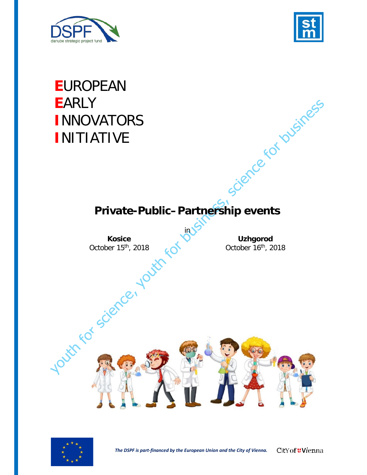



# **E**UROPEAN **E**ARLY **I**NNOVATORS **I**NITIATIVE **Private-Public–Partnership events**

# $\mathcal{C}_{1}$

in

**Kosice Uzhgorod** October 15<sup>th</sup>, 2018  $\sim$  October 16<sup>th</sup>, 2018

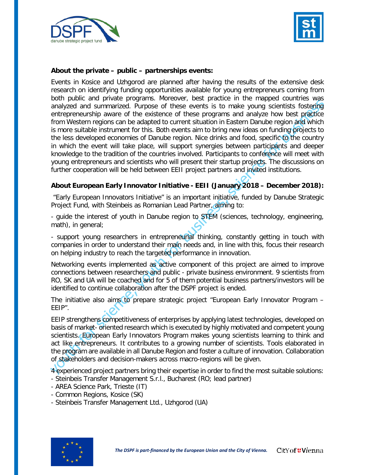



#### **About the private – public – partnerships events:**

Events in Kosice and Uzhgorod are planned after having the results of the extensive desk research on identifying funding opportunities available for young entrepreneurs coming from both public and private programs. Moreover, best practice in the mapped countries was analyzed and summarized. Purpose of these events is to make young scientists fostering entrepreneurship aware of the existence of these programs and analyze how best practice from Western regions can be adapted to current situation in Eastern Danube region and which is more suitable instrument for this. Both events aim to bring new ideas on funding projects to the less developed economies of Danube region. Nice drinks and food, specific to the country in which the event will take place, will support synergies between participants and deeper knowledge to the tradition of the countries involved. Participants to conference will meet with young entrepreneurs and scientists who will present their startup projects. The discussions on further cooperation will be held between EEII project partners and invited institutions.

#### **About European Early Innovator Initiative - EEII (January 2018 – December 2018):**

"Early European Innovators Initiative" is an important initiative, funded by Danube Strategic Project Fund, with Steinbeis as Romanian Lead Partner, aiming to:

- quide the interest of youth in Danube region to STEM (sciences, technology, engineering, math), in general;

- support young researchers in entrepreneurial thinking, constantly getting in touch with companies in order to understand their main needs and, in line with this, focus their research on helping industry to reach the targeted performance in innovation.

Networking events implemented as active component of this project are aimed to improve connections between researchers and public - private business environment. 9 scientists from RO, SK and UA will be coached and for 5 of them potential business partners/investors will be identified to continue collaboration after the DSPF project is ended.

The initiative also aims to prepare strategic project "European Early Innovator Program -EEIP".

EEIP strengthens competitiveness of enterprises by applying latest technologies, developed on basis of market- oriented research which is executed by highly motivated and competent young scientists. European Early Innovators Program makes young scientists learning to think and act like entrepreneurs. It contributes to a growing number of scientists. Tools elaborated in the program are available in all Danube Region and foster a culture of innovation. Collaboration of stakeholders and decision-makers across macro-regions will be given.

4 experienced project partners bring their expertise in order to find the most suitable solutions:

- Steinbeis Transfer Management S.r.l., Bucharest (RO; lead partner)
- AREA Science Park, Trieste (IT)
- Common Regions, Kosice (SK)
- Steinbeis Transfer Management Ltd., Uzhgorod (UA)

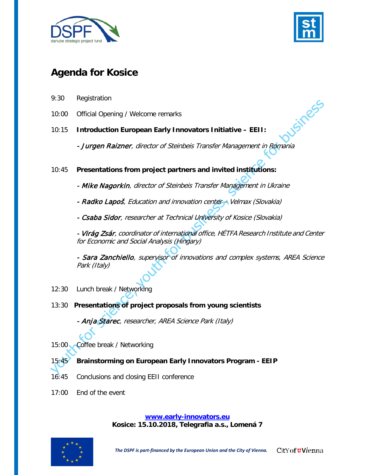



**Siness** 

## **Agenda for Kosice**

- 9:30 Registration
- 10:00 Official Opening / Welcome remarks
- 10:15 **Introduction European Early Innovators Initiative – EEII:**
	- Jurgen Raizner, director of Steinbeis Transfer Management in Romania

#### 10:45 **Presentations from project partners and invited institutions:**

- Mike Nagorkin, director of Steinbeis Transfer Management in Ukraine
- Radko Lapoš, Education and innovation center A Velmax (Slovakia)
- Csaba Sidor, researcher at Technical University of Kosice (Slovakia)

- Virág Zsár, coordinator of international office, HÉTFA Research Institute and Center for Economic and Social Analysis (Hingary)

- Sara Zanchiello, supervisor of innovations and complex systems, AREA Science Park (Italy)

- 12:30 Lunch break / Networking
- 13:30 **Presentations of project proposals from young scientists**
	- Anja Starec, researcher, AREA Science Park (Italy)

15:00 Coffee break / Networking

15:45 **Brainstorming on European Early Innovators Program - EEIP**

- 16:45 Conclusions and closing EEII conference
- 17:00 End of the event

**[www.early-innovators.eu](http://www.early-innovators.eu/) Kosice: 15.10.2018, Telegrafia a.s., Lomená 7**